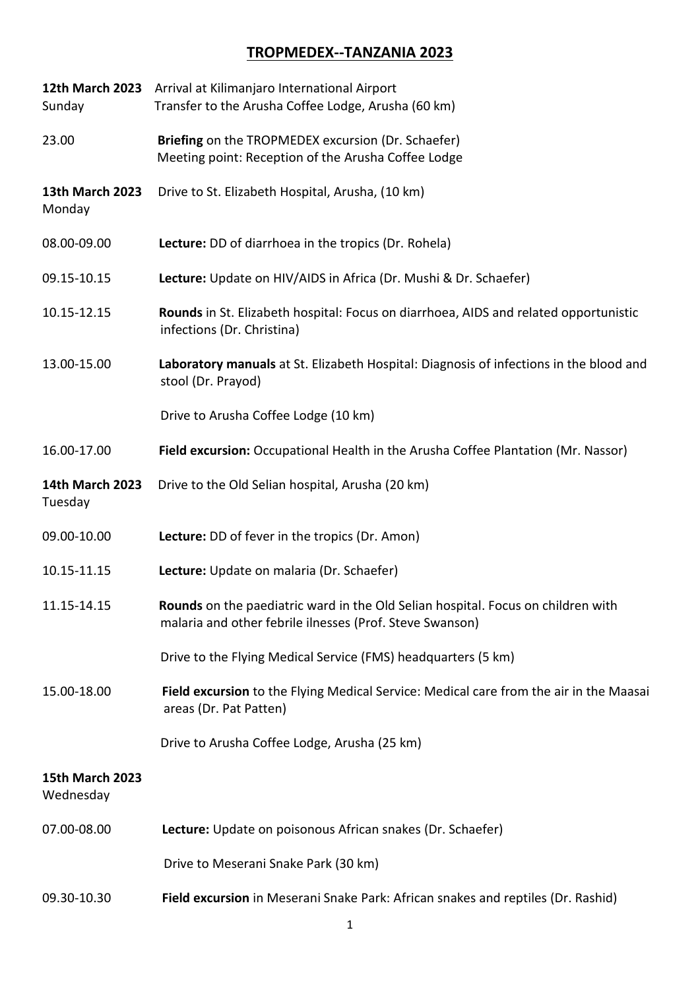## **TROPMEDEX--TANZANIA 2023**

| <b>12th March 2023</b><br>Sunday    | Arrival at Kilimanjaro International Airport<br>Transfer to the Arusha Coffee Lodge, Arusha (60 km)                                          |
|-------------------------------------|----------------------------------------------------------------------------------------------------------------------------------------------|
| 23.00                               | Briefing on the TROPMEDEX excursion (Dr. Schaefer)<br>Meeting point: Reception of the Arusha Coffee Lodge                                    |
| <b>13th March 2023</b><br>Monday    | Drive to St. Elizabeth Hospital, Arusha, (10 km)                                                                                             |
| 08.00-09.00                         | Lecture: DD of diarrhoea in the tropics (Dr. Rohela)                                                                                         |
| 09.15-10.15                         | Lecture: Update on HIV/AIDS in Africa (Dr. Mushi & Dr. Schaefer)                                                                             |
| 10.15-12.15                         | Rounds in St. Elizabeth hospital: Focus on diarrhoea, AIDS and related opportunistic<br>infections (Dr. Christina)                           |
| 13.00-15.00                         | Laboratory manuals at St. Elizabeth Hospital: Diagnosis of infections in the blood and<br>stool (Dr. Prayod)                                 |
|                                     | Drive to Arusha Coffee Lodge (10 km)                                                                                                         |
| 16.00-17.00                         | Field excursion: Occupational Health in the Arusha Coffee Plantation (Mr. Nassor)                                                            |
| <b>14th March 2023</b><br>Tuesday   | Drive to the Old Selian hospital, Arusha (20 km)                                                                                             |
| 09.00-10.00                         | Lecture: DD of fever in the tropics (Dr. Amon)                                                                                               |
| 10.15-11.15                         | Lecture: Update on malaria (Dr. Schaefer)                                                                                                    |
| 11.15-14.15                         | Rounds on the paediatric ward in the Old Selian hospital. Focus on children with<br>malaria and other febrile ilnesses (Prof. Steve Swanson) |
|                                     | Drive to the Flying Medical Service (FMS) headquarters (5 km)                                                                                |
| 15.00-18.00                         | Field excursion to the Flying Medical Service: Medical care from the air in the Maasai<br>areas (Dr. Pat Patten)                             |
|                                     | Drive to Arusha Coffee Lodge, Arusha (25 km)                                                                                                 |
| <b>15th March 2023</b><br>Wednesday |                                                                                                                                              |
| 07.00-08.00                         | Lecture: Update on poisonous African snakes (Dr. Schaefer)                                                                                   |
|                                     | Drive to Meserani Snake Park (30 km)                                                                                                         |
| 09.30-10.30                         | Field excursion in Meserani Snake Park: African snakes and reptiles (Dr. Rashid)                                                             |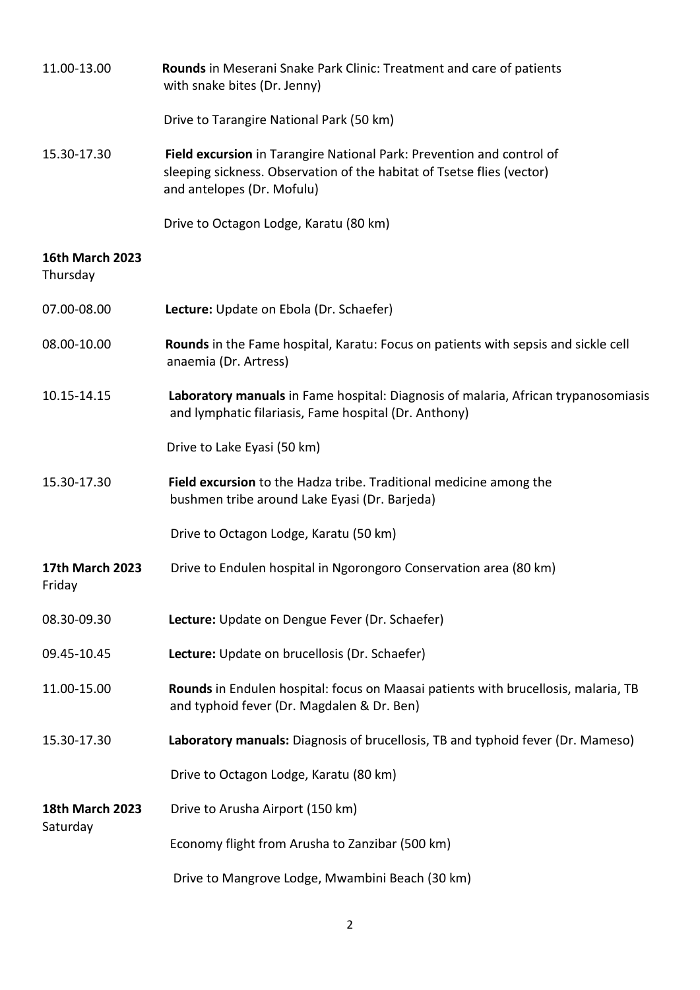| 11.00-13.00                        | Rounds in Meserani Snake Park Clinic: Treatment and care of patients<br>with snake bites (Dr. Jenny)                                                                          |
|------------------------------------|-------------------------------------------------------------------------------------------------------------------------------------------------------------------------------|
|                                    | Drive to Tarangire National Park (50 km)                                                                                                                                      |
| 15.30-17.30                        | Field excursion in Tarangire National Park: Prevention and control of<br>sleeping sickness. Observation of the habitat of Tsetse flies (vector)<br>and antelopes (Dr. Mofulu) |
|                                    | Drive to Octagon Lodge, Karatu (80 km)                                                                                                                                        |
| <b>16th March 2023</b><br>Thursday |                                                                                                                                                                               |
| 07.00-08.00                        | Lecture: Update on Ebola (Dr. Schaefer)                                                                                                                                       |
| 08.00-10.00                        | Rounds in the Fame hospital, Karatu: Focus on patients with sepsis and sickle cell<br>anaemia (Dr. Artress)                                                                   |
| 10.15-14.15                        | Laboratory manuals in Fame hospital: Diagnosis of malaria, African trypanosomiasis<br>and lymphatic filariasis, Fame hospital (Dr. Anthony)                                   |
|                                    | Drive to Lake Eyasi (50 km)                                                                                                                                                   |
| 15.30-17.30                        | Field excursion to the Hadza tribe. Traditional medicine among the<br>bushmen tribe around Lake Eyasi (Dr. Barjeda)                                                           |
|                                    | Drive to Octagon Lodge, Karatu (50 km)                                                                                                                                        |
| <b>17th March 2023</b><br>Friday   | Drive to Endulen hospital in Ngorongoro Conservation area (80 km)                                                                                                             |
| 08.30-09.30                        | Lecture: Update on Dengue Fever (Dr. Schaefer)                                                                                                                                |
| 09.45-10.45                        | Lecture: Update on brucellosis (Dr. Schaefer)                                                                                                                                 |
| 11.00-15.00                        | Rounds in Endulen hospital: focus on Maasai patients with brucellosis, malaria, TB<br>and typhoid fever (Dr. Magdalen & Dr. Ben)                                              |
| 15.30-17.30                        | Laboratory manuals: Diagnosis of brucellosis, TB and typhoid fever (Dr. Mameso)                                                                                               |
|                                    | Drive to Octagon Lodge, Karatu (80 km)                                                                                                                                        |
| <b>18th March 2023</b><br>Saturday | Drive to Arusha Airport (150 km)                                                                                                                                              |
|                                    | Economy flight from Arusha to Zanzibar (500 km)                                                                                                                               |
|                                    | Drive to Mangrove Lodge, Mwambini Beach (30 km)                                                                                                                               |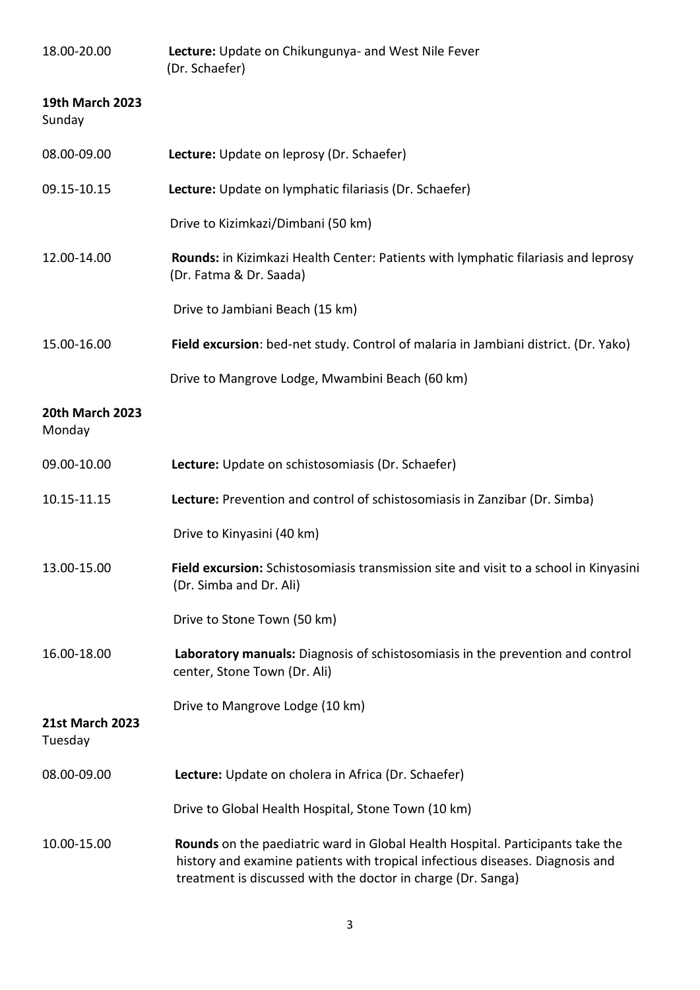| 18.00-20.00                       | Lecture: Update on Chikungunya- and West Nile Fever<br>(Dr. Schaefer)                                                                                                                                                           |
|-----------------------------------|---------------------------------------------------------------------------------------------------------------------------------------------------------------------------------------------------------------------------------|
| <b>19th March 2023</b><br>Sunday  |                                                                                                                                                                                                                                 |
| 08.00-09.00                       | Lecture: Update on leprosy (Dr. Schaefer)                                                                                                                                                                                       |
| 09.15-10.15                       | Lecture: Update on lymphatic filariasis (Dr. Schaefer)                                                                                                                                                                          |
|                                   | Drive to Kizimkazi/Dimbani (50 km)                                                                                                                                                                                              |
| 12.00-14.00                       | Rounds: in Kizimkazi Health Center: Patients with lymphatic filariasis and leprosy<br>(Dr. Fatma & Dr. Saada)                                                                                                                   |
|                                   | Drive to Jambiani Beach (15 km)                                                                                                                                                                                                 |
| 15.00-16.00                       | Field excursion: bed-net study. Control of malaria in Jambiani district. (Dr. Yako)                                                                                                                                             |
|                                   | Drive to Mangrove Lodge, Mwambini Beach (60 km)                                                                                                                                                                                 |
| <b>20th March 2023</b><br>Monday  |                                                                                                                                                                                                                                 |
| 09.00-10.00                       | Lecture: Update on schistosomiasis (Dr. Schaefer)                                                                                                                                                                               |
| 10.15-11.15                       | Lecture: Prevention and control of schistosomiasis in Zanzibar (Dr. Simba)                                                                                                                                                      |
|                                   | Drive to Kinyasini (40 km)                                                                                                                                                                                                      |
| 13.00-15.00                       | Field excursion: Schistosomiasis transmission site and visit to a school in Kinyasini<br>(Dr. Simba and Dr. Ali)                                                                                                                |
|                                   | Drive to Stone Town (50 km)                                                                                                                                                                                                     |
| 16.00-18.00                       | Laboratory manuals: Diagnosis of schistosomiasis in the prevention and control<br>center, Stone Town (Dr. Ali)                                                                                                                  |
| <b>21st March 2023</b><br>Tuesday | Drive to Mangrove Lodge (10 km)                                                                                                                                                                                                 |
| 08.00-09.00                       | Lecture: Update on cholera in Africa (Dr. Schaefer)                                                                                                                                                                             |
|                                   | Drive to Global Health Hospital, Stone Town (10 km)                                                                                                                                                                             |
| 10.00-15.00                       | Rounds on the paediatric ward in Global Health Hospital. Participants take the<br>history and examine patients with tropical infectious diseases. Diagnosis and<br>treatment is discussed with the doctor in charge (Dr. Sanga) |